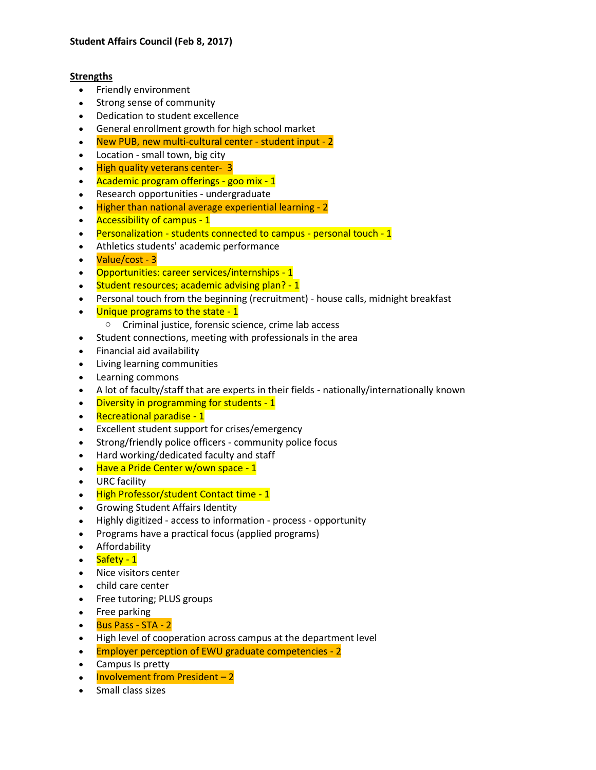## **Strengths**

- Friendly environment
- Strong sense of community
- Dedication to student excellence
- General enrollment growth for high school market
- New PUB, new multi-cultural center student input 2
- Location small town, big city
- High quality veterans center- 3
- Academic program offerings goo mix 1
- Research opportunities undergraduate
- Higher than national average experiential learning 2
- Accessibility of campus 1
- Personalization students connected to campus personal touch 1
- Athletics students' academic performance
- Value/cost 3
- Opportunities: career services/internships 1
- Student resources; academic advising plan? 1
- Personal touch from the beginning (recruitment) house calls, midnight breakfast
- Unique programs to the state 1
	- o Criminal justice, forensic science, crime lab access
- Student connections, meeting with professionals in the area
- Financial aid availability
- Living learning communities
- Learning commons
- A lot of faculty/staff that are experts in their fields nationally/internationally known
- Diversity in programming for students 1
- Recreational paradise 1
- Excellent student support for crises/emergency
- Strong/friendly police officers community police focus
- Hard working/dedicated faculty and staff
- Have a Pride Center w/own space 1
- URC facility
- High Professor/student Contact time 1
- Growing Student Affairs Identity
- Highly digitized access to information process opportunity
- Programs have a practical focus (applied programs)
- Affordability
- Safety 1
- Nice visitors center
- child care center
- Free tutoring; PLUS groups
- Free parking
- Bus Pass STA 2
- High level of cooperation across campus at the department level
- Employer perception of EWU graduate competencies 2
- Campus Is pretty
- Involvement from President 2
- Small class sizes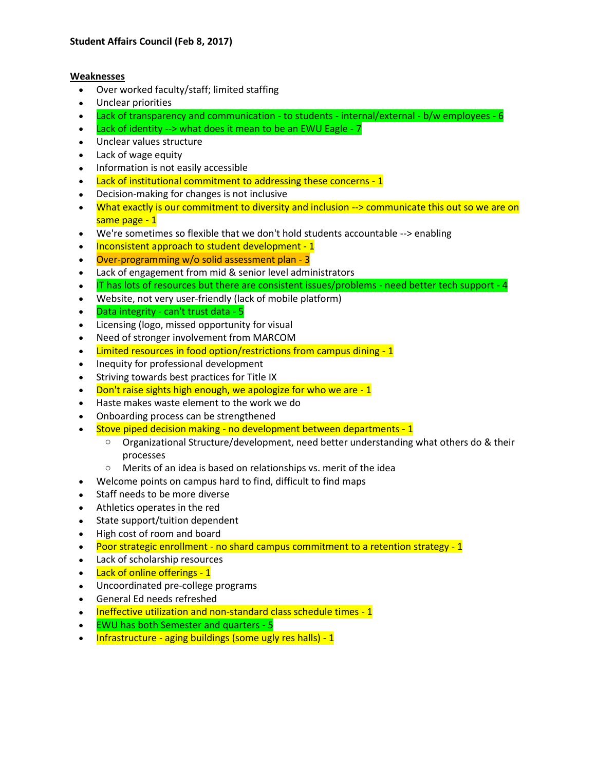## **Weaknesses**

- Over worked faculty/staff; limited staffing
- Unclear priorities
- Lack of transparency and communication to students internal/external b/w employees 6
- $\bullet$  Lack of identity --> what does it mean to be an EWU Eagle 7
- Unclear values structure
- Lack of wage equity
- Information is not easily accessible
- Lack of institutional commitment to addressing these concerns 1
- Decision-making for changes is not inclusive
- What exactly is our commitment to diversity and inclusion --> communicate this out so we are on same page - 1
- We're sometimes so flexible that we don't hold students accountable --> enabling
- Inconsistent approach to student development 1
- Over-programming w/o solid assessment plan 3
- Lack of engagement from mid & senior level administrators
- IT has lots of resources but there are consistent issues/problems need better tech support 4
- Website, not very user-friendly (lack of mobile platform)
- Data integrity can't trust data 5
- Licensing (logo, missed opportunity for visual
- Need of stronger involvement from MARCOM
- Limited resources in food option/restrictions from campus dining 1
- Inequity for professional development
- Striving towards best practices for Title IX
- $\bullet$  Don't raise sights high enough, we apologize for who we are  $-1$
- Haste makes waste element to the work we do
- Onboarding process can be strengthened
- Stove piped decision making no development between departments 1
	- $\circ$  Organizational Structure/development, need better understanding what others do & their processes
	- o Merits of an idea is based on relationships vs. merit of the idea
- Welcome points on campus hard to find, difficult to find maps
- Staff needs to be more diverse
- Athletics operates in the red
- State support/tuition dependent
- High cost of room and board
- Poor strategic enrollment no shard campus commitment to a retention strategy 1
- Lack of scholarship resources
- Lack of online offerings 1
- Uncoordinated pre-college programs
- General Ed needs refreshed
- Ineffective utilization and non-standard class schedule times 1
- EWU has both Semester and quarters 5
- Infrastructure aging buildings (some ugly res halls) 1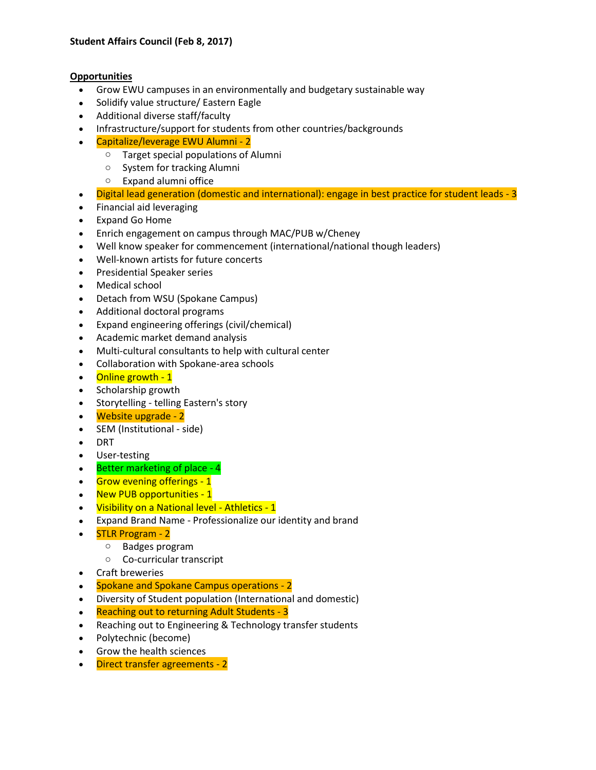## **Opportunities**

- Grow EWU campuses in an environmentally and budgetary sustainable way
- Solidify value structure/ Eastern Eagle
- Additional diverse staff/faculty
- Infrastructure/support for students from other countries/backgrounds
- Capitalize/leverage EWU Alumni 2
	- o Target special populations of Alumni
	- o System for tracking Alumni
	- o Expand alumni office
- Digital lead generation (domestic and international): engage in best practice for student leads 3
- Financial aid leveraging
- Expand Go Home
- Enrich engagement on campus through MAC/PUB w/Cheney
- Well know speaker for commencement (international/national though leaders)
- Well-known artists for future concerts
- Presidential Speaker series
- Medical school
- Detach from WSU (Spokane Campus)
- Additional doctoral programs
- Expand engineering offerings (civil/chemical)
- Academic market demand analysis
- Multi-cultural consultants to help with cultural center
- Collaboration with Spokane-area schools
- Online growth 1
- Scholarship growth
- Storytelling telling Eastern's story
- Website upgrade 2
- SEM (Institutional side)
- DRT
- User-testing
- Better marketing of place 4
- Grow evening offerings 1
- New PUB opportunities 1
- Visibility on a National level Athletics 1
- Expand Brand Name Professionalize our identity and brand
- STLR Program 2
	- o Badges program
		- o Co-curricular transcript
- Craft breweries
- Spokane and Spokane Campus operations 2
- Diversity of Student population (International and domestic)
- Reaching out to returning Adult Students 3
- Reaching out to Engineering & Technology transfer students
- Polytechnic (become)
- Grow the health sciences
- Direct transfer agreements 2